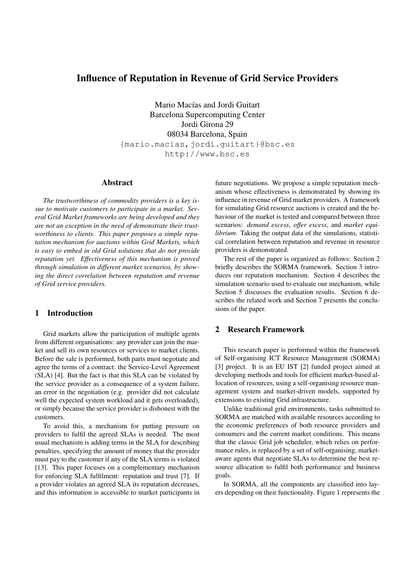# Influence of Reputation in Revenue of Grid Service Providers

Mario Macías and Jordi Guitart Barcelona Supercomputing Center Jordi Girona 29 08034 Barcelona, Spain {mario.macias,jordi.guitart}@bsc.es http://www.bsc.es

#### Abstract

*The trustworthiness of commodity providers is a key issue to motivate customers to participate in a market. Several Grid Market frameworks are being developed and they are not an exception in the need of demonstrate their trustworthiness to clients. This paper proposes a simple reputation mechanism for auctions within Grid Markets, which is easy to embed in old Grid solutions that do not provide reputation yet. Effectiveness of this mechanism is proved through simulation in different market scenarios, by showing the direct correlation between reputation and revenue of Grid service providers.*

# 1 Introduction

Grid markets allow the participation of multiple agents from different organisations: any provider can join the market and sell its own resources or services to market clients. Before the sale is performed, both parts must negotiate and agree the terms of a contract: the Service-Level Agreement (SLA) [4]. But the fact is that this SLA can be violated by the service provider as a consequence of a system failure, an error in the negotiation (e.g. provider did not calculate well the expected system workload and it gets overloaded), or simply because the service provider is dishonest with the customers.

To avoid this, a mechanism for putting pressure on providers to fulfil the agreed SLAs is needed. The most usual mechanism is adding terms in the SLA for describing penalties, specifying the amount of money that the provider must pay to the customer if any of the SLA terms is violated [13]. This paper focuses on a complementary mechanism for enforcing SLA fulfilment: reputation and trust [7]. If a provider violates an agreed SLA its reputation decreases, and this information is accessible to market participants in

future negotiations. We propose a simple reputation mechanism whose effectiveness is demonstrated by showing its influence in revenue of Grid market providers. A framework for simulating Grid resource auctions is created and the behaviour of the market is tested and compared between three scenarios: *demand excess*, *offer excess*, and *market equilibrium*. Taking the output data of the simulations, statistical correlation between reputation and revenue in resource providers is demonstrated.

The rest of the paper is organized as follows: Section 2 briefly describes the SORMA framework. Section 3 introduces our reputation mechanism. Section 4 describes the simulation scenario used to evaluate our mechanism, while Section 5 discusses the evaluation results. Section 6 describes the related work and Section 7 presents the conclusions of the paper.

### 2 Research Framework

This research paper is performed within the framework of Self-organising ICT Resource Management (SORMA) [3] project. It is an EU IST [2] funded project aimed at developing methods and tools for efficient market-based allocation of resources, using a self-organising resource management system and market-driven models, supported by extensions to existing Grid infrastructure.

Unlike traditional grid environments, tasks submitted to SORMA are matched with available resources according to the economic preferences of both resource providers and consumers and the current market conditions. This means that the classic Grid job scheduler, which relies on performance rules, is replaced by a set of self-organising, marketaware agents that negotiate SLAs to determine the best resource allocation to fulfil both performance and business goals.

In SORMA, all the components are classified into layers depending on their functionality. Figure 1 represents the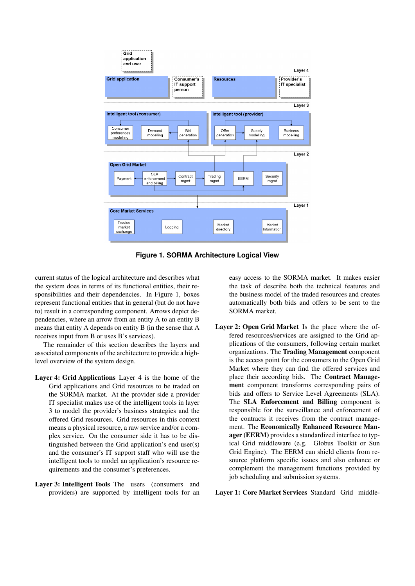

**Figure 1. SORMA Architecture Logical View**

current status of the logical architecture and describes what the system does in terms of its functional entities, their responsibilities and their dependencies. In Figure 1, boxes represent functional entities that in general (but do not have to) result in a corresponding component. Arrows depict dependencies, where an arrow from an entity A to an entity B means that entity A depends on entity B (in the sense that A receives input from B or uses B's services).

The remainder of this section describes the layers and associated components of the architecture to provide a highlevel overview of the system design.

- Layer 4: Grid Applications Layer 4 is the home of the Grid applications and Grid resources to be traded on the SORMA market. At the provider side a provider IT specialist makes use of the intelligent tools in layer 3 to model the provider's business strategies and the offered Grid resources. Grid resources in this context means a physical resource, a raw service and/or a complex service. On the consumer side it has to be distinguished between the Grid application's end user(s) and the consumer's IT support staff who will use the intelligent tools to model an application's resource requirements and the consumer's preferences.
- Layer 3: Intelligent Tools The users (consumers and providers) are supported by intelligent tools for an

easy access to the SORMA market. It makes easier the task of describe both the technical features and the business model of the traded resources and creates automatically both bids and offers to be sent to the SORMA market.

Layer 2: Open Grid Market Is the place where the offered resources/services are assigned to the Grid applications of the consumers, following certain market organizations. The Trading Management component is the access point for the consumers to the Open Grid Market where they can find the offered services and place their according bids. The Contract Management component transforms corresponding pairs of bids and offers to Service Level Agreements (SLA). The SLA Enforcement and Billing component is responsible for the surveillance and enforcement of the contracts it receives from the contract management. The Economically Enhanced Resource Manager (EERM) provides a standardized interface to typical Grid middleware (e.g. Globus Toolkit or Sun Grid Engine). The EERM can shield clients from resource platform specific issues and also enhance or complement the management functions provided by job scheduling and submission systems.

Layer 1: Core Market Services Standard Grid middle-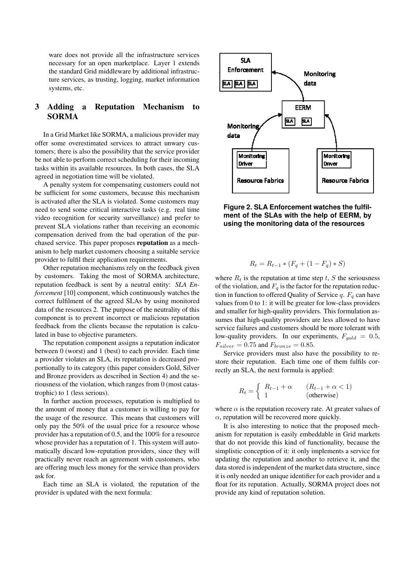ware does not provide all the infrastructure services necessary for an open marketplace. Layer 1 extends the standard Grid middleware by additional infrastructure services, as trusting, logging, market information systems, etc.

# 3 Adding a Reputation Mechanism to SORMA

In a Grid Market like SORMA, a malicious provider may offer some overestimated services to attract unwary customers; there is also the possibility that the service provider be not able to perform correct scheduling for their incoming tasks within its available resources. In both cases, the SLA agreed in negotiation time will be violated.

A penalty system for compensating customers could not be sufficient for some customers, because this mechanism is activated after the SLA is violated. Some customers may need to send some critical interactive tasks (e.g. real time video recognition for security surveillance) and prefer to prevent SLA violations rather than receiving an economic compensation derived from the bad operation of the purchased service. This paper proposes reputation as a mechanism to help market customers choosing a suitable service provider to fulfil their application requirements.

Other reputation mechanisms rely on the feedback given by customers. Taking the most of SORMA architecture, reputation feedback is sent by a neutral entity: *SLA Enforcement* [10] component, which continuously watches the correct fulfilment of the agreed SLAs by using monitored data of the resources 2. The purpose of the neutrality of this component is to prevent incorrect or malicious reputation feedback from the clients because the reputation is calculated in base to objective parameters.

The reputation component assigns a reputation indicator between 0 (worst) and 1 (best) to each provider. Each time a provider violates an SLA, its reputation is decreased proportionally to its category (this paper considers Gold, Silver and Bronze providers as described in Section 4) and the seriousness of the violation, which ranges from 0 (most catastrophic) to 1 (less serious).

In further auction processes, reputation is multiplied to the amount of money that a customer is willing to pay for the usage of the resource. This means that customers will only pay the 50% of the usual price for a resource whose provider has a reputation of 0.5, and the 100% for a resource whose provider has a reputation of 1. This system will automatically discard low-reputation providers, since they will practically never reach an agreement with customers, who are offering much less money for the service than providers ask for.

Each time an SLA is violated, the reputation of the provider is updated with the next formula:



**Figure 2. SLA Enforcement watches the fulfilment of the SLAs with the help of EERM, by using the monitoring data of the resources**

$$
R_t = R_{t-1} * (F_q + (1 - F_q) * S)
$$

where  $R_t$  is the reputation at time step  $t$ ,  $S$  the seriousness of the violation, and  $F_q$  is the factor for the reputation reduction in function to offered Quality of Service  $q$ .  $F_q$  can have values from 0 to 1: it will be greater for low-class providers and smaller for high-quality providers. This formulation assumes that high-quality providers are less allowed to have service failures and customers should be more tolerant with low-quality providers. In our experiments,  $F_{gold} = 0.5$ ,  $F_{silver} = 0.75$  and  $F_{brane} = 0.85$ .

Service providers must also have the possibility to restore their reputation. Each time one of them fulfils correctly an SLA, the next formula is applied:

$$
R_t = \begin{cases} R_{t-1} + \alpha & (R_{t-1} + \alpha < 1) \\ 1 & (\text{otherwise}) \end{cases}
$$

where  $\alpha$  is the reputation recovery rate. At greater values of  $\alpha$ , reputation will be recovered more quickly.

It is also interesting to notice that the proposed mechanism for reputation is easily embeddable in Grid markets that do not provide this kind of functionality, because the simplistic conception of it: it only implements a service for updating the reputation and another to retrieve it, and the data stored is independent of the market data structure, since it is only needed an unique identifier for each provider and a float for its reputation. Actually, SORMA project does not provide any kind of reputation solution.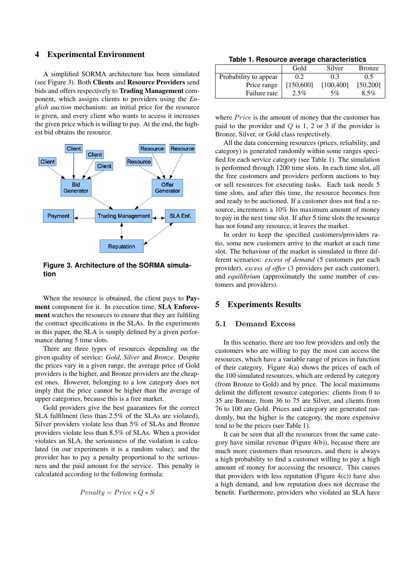### 4 Experimental Environment

A simplified SORMA architecture has been simulated (see Figure 3). Both Clients and Resource Providers send bids and offers respectively to Trading Management component, which assigns clients to providers using the *English auction* mechanism: an initial price for the resource is given, and every client who wants to access it increases the given price which is willing to pay. At the end, the highest bid obtains the resource.



**Figure 3. Architecture of the SORMA simulation**

When the resource is obtained, the client pays to **Pay**ment component for it. In execution time, SLA Enforcement watches the resources to ensure that they are fulfiling the contract specifications in the SLAs. In the experiments in this paper, the SLA is simply defined by a given performance during 5 time slots.

There are three types of resources depending on the given quality of service: *Gold*, *Silver* and *Bronze*. Despite the prices vary in a given range, the average price of Gold providers is the higher, and Bronze providers are the cheapest ones. However, belonging to a low category does not imply that the price cannot be higher than the average of upper categories, because this is a free market.

Gold providers give the best guarantees for the correct SLA fulfilment (less than 2.5% of the SLAs are violated), Silver providers violate less than 5% of SLAs and Bronze providers violate less than 8.5% of SLAs. When a provider violates an SLA, the seriousness of the violation is calculated (in our experiments it is a random value), and the provider has to pay a penalty proportional to the seriousness and the paid amount for the service. This penalty is calculated according to the following formula:

$$
Penalty = Price * Q * S
$$

**Table 1. Resource average characteristics**

|                       | Gold      | Silver     | <b>Bronze</b> |
|-----------------------|-----------|------------|---------------|
| Probability to appear | 0.2       | 0.3        | 0.5           |
| Price range           | [150,600] | [100, 400] | [50, 200]     |
| Failure rate          | $2.5\%$   | 5%         | 8.5%          |

where *Price* is the amount of money that the customer has paid to the provider and *Q* is 1, 2 or 3 if the provider is Bronze, Silver, or Gold class respectively.

All the data concerning resources (prices, reliability, and category) is generated randomly within some ranges specified for each service category (see Table 1). The simulation is performed through 1200 time slots. In each time slot, all the free customers and providers perform auctions to buy or sell resources for executing tasks. Each task needs 5 time slots, and after this time, the resource becomes free and ready to be auctioned. If a customer does not find a resource, increments a 10% his maximum amount of money to pay in the next time slot. If after 5 time slots the resource has not found any resource, it leaves the market.

In order to keep the specified customers/providers ratio, some new customers arrive to the market at each time slot. The behaviour of the market is simulated in three different scenarios: *excess of demand* (5 customers per each provider), *excess of offer* (3 providers per each customer), and *equilibrium* (approximately the same number of customers and providers).

#### 5 Experiments Results

#### **5.1 Demand Excess**

In this scenario, there are too few providers and only the customers who are willing to pay the most can access the resources, which have a variable range of prices in function of their category. Figure 4(a) shows the prices of each of the 100 simulated resources, which are ordered by category (from Bronze to Gold) and by price. The local maximums delimit the different resource categories: clients from 0 to 35 are Bronze, from 36 to 75 are Silver, and clients from 76 to 100 are Gold. Prices and category are generated randomly, but the higher is the category, the more expensive tend to be the prices (see Table 1).

It can be seen that all the resources from the same category have similar revenue (Figure 4(b)), because there are much more customers than resources, and there is always a high probability to find a customer willing to pay a high amount of money for accessing the resource. This causes that providers with less reputation (Figure  $4(c)$ ) have also a high demand, and low reputation does not decrease the benefit. Furthermore, providers who violated an SLA have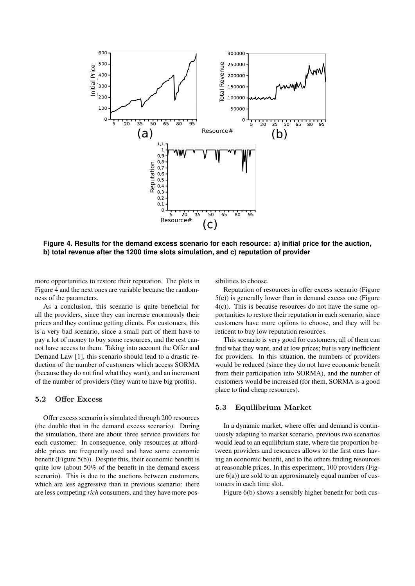

**Figure 4. Results for the demand excess scenario for each resource: a) initial price for the auction, b) total revenue after the 1200 time slots simulation, and c) reputation of provider**

more opportunities to restore their reputation. The plots in Figure 4 and the next ones are variable because the randomness of the parameters.

As a conclusion, this scenario is quite beneficial for all the providers, since they can increase enormously their prices and they continue getting clients. For customers, this is a very bad scenario, since a small part of them have to pay a lot of money to buy some resources, and the rest cannot have access to them. Taking into account the Offer and Demand Law [1], this scenario should lead to a drastic reduction of the number of customers which access SORMA (because they do not find what they want), and an increment of the number of providers (they want to have big profits).

# **5.2 Offer Excess**

Offer excess scenario is simulated through 200 resources (the double that in the demand excess scenario). During the simulation, there are about three service providers for each customer. In consequence, only resources at affordable prices are frequently used and have some economic benefit (Figure 5(b)). Despite this, their economic benefit is quite low (about 50% of the benefit in the demand excess scenario). This is due to the auctions between customers, which are less aggressive than in previous scenario: there are less competing *rich* consumers, and they have more possibilities to choose.

Reputation of resources in offer excess scenario (Figure 5(c)) is generally lower than in demand excess one (Figure 4(c)). This is because resources do not have the same opportunities to restore their reputation in each scenario, since customers have more options to choose, and they will be reticent to buy low reputation resources.

This scenario is very good for customers; all of them can find what they want, and at low prices; but is very inefficient for providers. In this situation, the numbers of providers would be reduced (since they do not have economic benefit from their participation into SORMA), and the number of customers would be increased (for them, SORMA is a good place to find cheap resources).

#### **5.3 Equilibrium Market**

In a dynamic market, where offer and demand is continuously adapting to market scenario, previous two scenarios would lead to an equilibrium state, where the proportion between providers and resources allows to the first ones having an economic benefit, and to the others finding resources at reasonable prices. In this experiment, 100 providers (Figure  $6(a)$ ) are sold to an approximately equal number of customers in each time slot.

Figure 6(b) shows a sensibly higher benefit for both cus-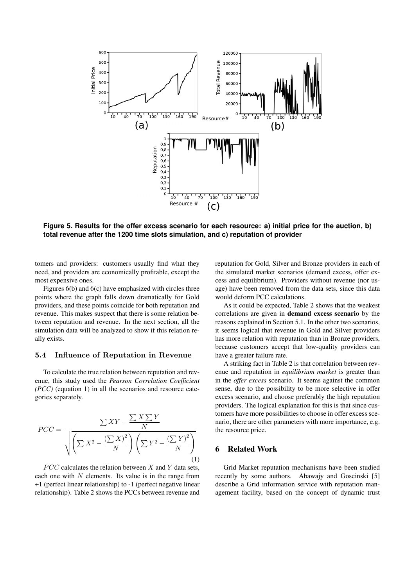

**Figure 5. Results for the offer excess scenario for each resource: a) initial price for the auction, b) total revenue after the 1200 time slots simulation, and c) reputation of provider**

tomers and providers: customers usually find what they need, and providers are economically profitable, except the most expensive ones.

Figures 6(b) and 6(c) have emphasized with circles three points where the graph falls down dramatically for Gold providers, and these points coincide for both reputation and revenue. This makes suspect that there is some relation between reputation and revenue. In the next section, all the simulation data will be analyzed to show if this relation really exists.

#### **5.4 Influence of Reputation in Revenue**

To calculate the true relation between reputation and revenue, this study used the *Pearson Correlation Coefficient (PCC)* (equation 1) in all the scenarios and resource categories separately.

$$
PCC = \frac{\sum XY - \frac{\sum X \sum Y}{N}}{\sqrt{\left(\sum X^2 - \frac{\left(\sum X\right)^2}{N}\right)\left(\sum Y^2 - \frac{\left(\sum Y\right)^2}{N}\right)}}
$$
\n(1)

*P CC* calculates the relation between *X* and *Y* data sets, each one with *N* elements. Its value is in the range from +1 (perfect linear relationship) to -1 (perfect negative linear relationship). Table 2 shows the PCCs between revenue and reputation for Gold, Silver and Bronze providers in each of the simulated market scenarios (demand excess, offer excess and equilibrium). Providers without revenue (nor usage) have been removed from the data sets, since this data would deform PCC calculations.

As it could be expected, Table 2 shows that the weakest correlations are given in demand excess scenario by the reasons explained in Section 5.1. In the other two scenarios, it seems logical that revenue in Gold and Silver providers has more relation with reputation than in Bronze providers, because customers accept that low-quality providers can have a greater failure rate.

A striking fact in Table 2 is that correlation between revenue and reputation in *equilibrium market* is greater than in the *offer excess* scenario. It seems against the common sense, due to the possibility to be more selective in offer excess scenario, and choose preferably the high reputation providers. The logical explanation for this is that since customers have more possibilities to choose in offer excess scenario, there are other parameters with more importance, e.g. the resource price.

### 6 Related Work

Grid Market reputation mechanisms have been studied recently by some authors. Abawajy and Goscinski [5] describe a Grid information service with reputation management facility, based on the concept of dynamic trust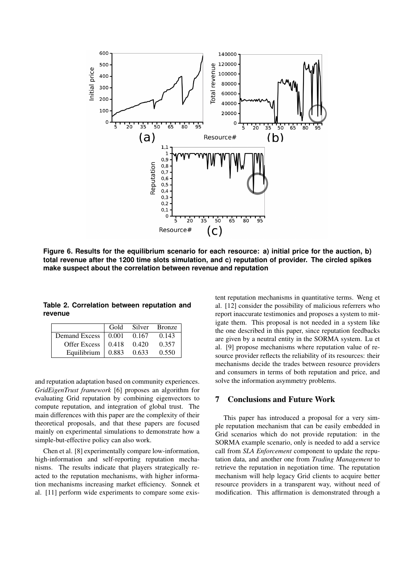

**Figure 6. Results for the equilibrium scenario for each resource: a) initial price for the auction, b) total revenue after the 1200 time slots simulation, and c) reputation of provider. The circled spikes make suspect about the correlation between revenue and reputation**

**Table 2. Correlation between reputation and revenue**

|                                  | Gold |       | Silver Bronze |
|----------------------------------|------|-------|---------------|
| Demand Excess   0.001            |      | 0.167 | 0.143         |
| Offer Excess $\vert 0.418 \vert$ |      | 0.420 | 0.357         |
| Equilibrium $\vert$ 0.883        |      | 0.633 | 0.550         |

and reputation adaptation based on community experiences. *GridEigenTrust framework* [6] proposes an algorithm for evaluating Grid reputation by combining eigenvectors to compute reputation, and integration of global trust. The main differences with this paper are the complexity of their theoretical proposals, and that these papers are focused mainly on experimental simulations to demonstrate how a simple-but-effective policy can also work.

Chen et al. [8] experimentally compare low-information, high-information and self-reporting reputation mechanisms. The results indicate that players strategically reacted to the reputation mechanisms, with higher information mechanisms increasing market efficiency. Sonnek et al. [11] perform wide experiments to compare some existent reputation mechanisms in quantitative terms. Weng et al. [12] consider the possibility of malicious referrers who report inaccurate testimonies and proposes a system to mitigate them. This proposal is not needed in a system like the one described in this paper, since reputation feedbacks are given by a neutral entity in the SORMA system. Lu et al. [9] propose mechanisms where reputation value of resource provider reflects the reliability of its resources: their mechanisms decide the trades between resource providers and consumers in terms of both reputation and price, and solve the information asymmetry problems.

# 7 Conclusions and Future Work

This paper has introduced a proposal for a very simple reputation mechanism that can be easily embedded in Grid scenarios which do not provide reputation: in the SORMA example scenario, only is needed to add a service call from *SLA Enforcement* component to update the reputation data, and another one from *Trading Management* to retrieve the reputation in negotiation time. The reputation mechanism will help legacy Grid clients to acquire better resource providers in a transparent way, without need of modification. This affirmation is demonstrated through a